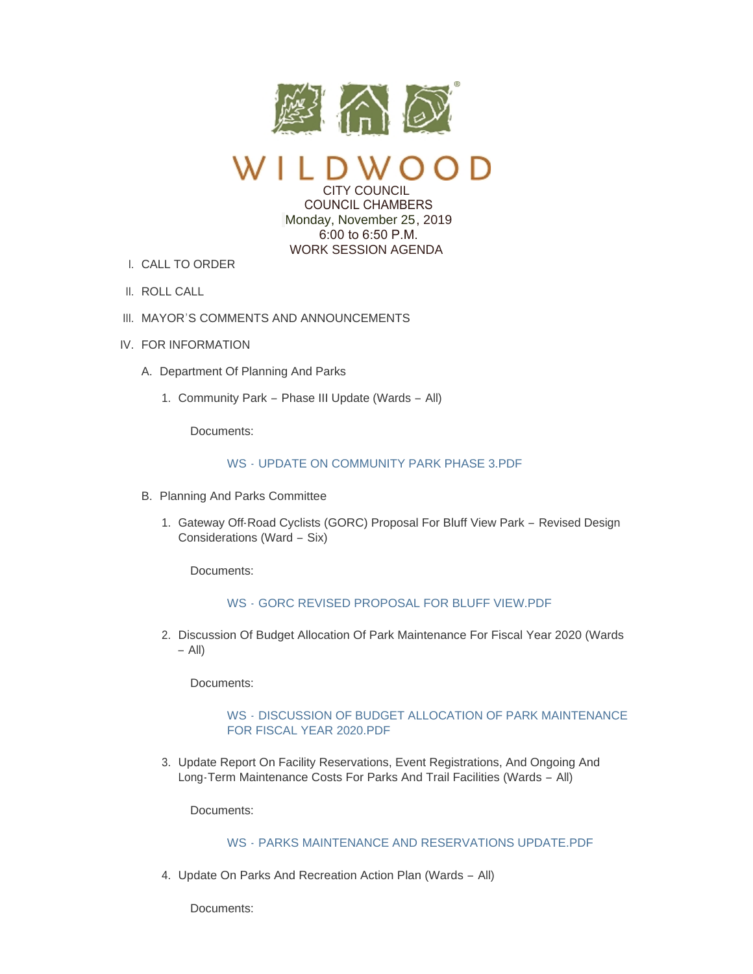

CITY COUNCIL

 COUNCIL CHAMBERS Monday, November 25, 2019 6:00 to 6:50 P.M. WORK SESSION AGENDA

- CALL TO ORDER I.
- II. ROLL CALL
- III. MAYOR'S COMMENTS AND ANNOUNCEMENTS
- IV. FOR INFORMATION
	- A. Department Of Planning And Parks
		- 1. Community Park Phase III Update (Wards All)

Documents:

## WS - [UPDATE ON COMMUNITY PARK PHASE 3.PDF](https://www.cityofwildwood.com/AgendaCenter/ViewFile/Item/23081?fileID=28349)

- B. Planning And Parks Committee
	- 1. Gateway Off-Road Cyclists (GORC) Proposal For Bluff View Park Revised Design Considerations (Ward – Six)

Documents:

### WS - [GORC REVISED PROPOSAL FOR BLUFF VIEW.PDF](https://www.cityofwildwood.com/AgendaCenter/ViewFile/Item/23068?fileID=28338)

2. Discussion Of Budget Allocation Of Park Maintenance For Fiscal Year 2020 (Wards  $-$  All)

Documents:

### WS - [DISCUSSION OF BUDGET ALLOCATION OF PARK MAINTENANCE](https://www.cityofwildwood.com/AgendaCenter/ViewFile/Item/23069?fileID=28339)  FOR FISCAL YEAR 2020.PDF

3. Update Report On Facility Reservations, Event Registrations, And Ongoing And Long-Term Maintenance Costs For Parks And Trail Facilities (Wards – All)

Documents:

### WS - [PARKS MAINTENANCE AND RESERVATIONS UPDATE.PDF](https://www.cityofwildwood.com/AgendaCenter/ViewFile/Item/23070?fileID=28340)

4. Update On Parks And Recreation Action Plan (Wards - All)

Documents: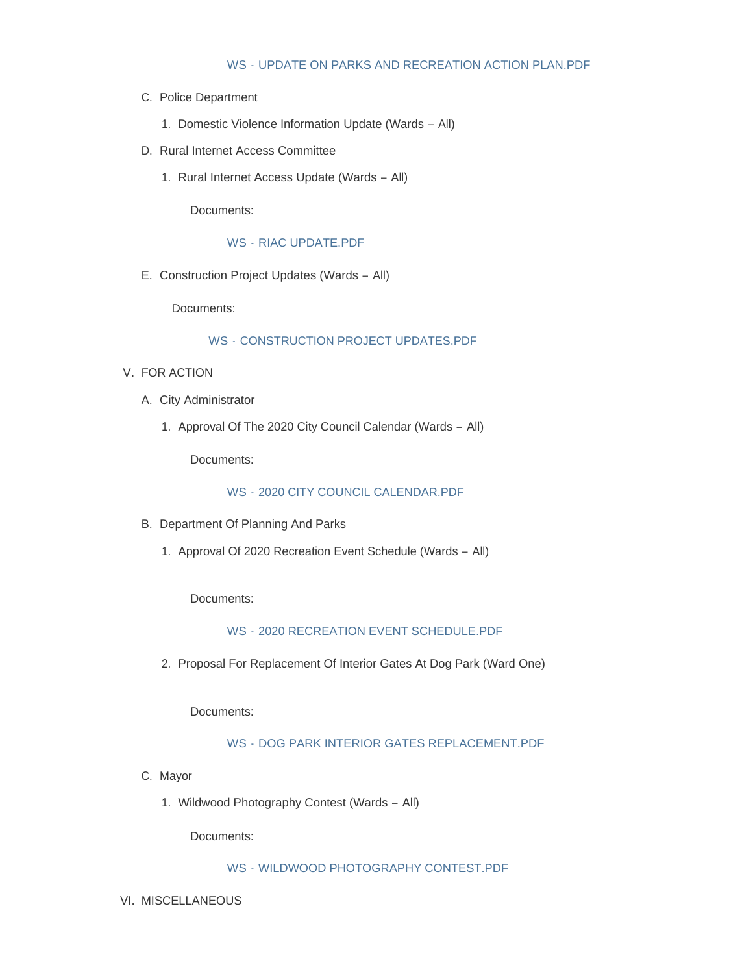### WS - [UPDATE ON PARKS AND RECREATION ACTION PLAN.PDF](https://www.cityofwildwood.com/AgendaCenter/ViewFile/Item/23071?fileID=28341)

- C. Police Department
	- 1. Domestic Violence Information Update (Wards All)
- D. Rural Internet Access Committee
	- 1. Rural Internet Access Update (Wards All)

Documents:

WS - [RIAC UPDATE.PDF](https://www.cityofwildwood.com/AgendaCenter/ViewFile/Item/23072?fileID=28342)

E. Construction Project Updates (Wards - All)

Documents:

# WS - [CONSTRUCTION PROJECT UPDATES.PDF](https://www.cityofwildwood.com/AgendaCenter/ViewFile/Item/23092?fileID=28350)

- V. FOR ACTION
	- A. City Administrator
		- 1. Approval Of The 2020 City Council Calendar (Wards All)

Documents:

WS - [2020 CITY COUNCIL CALENDAR.PDF](https://www.cityofwildwood.com/AgendaCenter/ViewFile/Item/23100?fileID=28355)

- B. Department Of Planning And Parks
	- 1. Approval Of 2020 Recreation Event Schedule (Wards All)

Documents:

# WS - [2020 RECREATION EVENT SCHEDULE.PDF](https://www.cityofwildwood.com/AgendaCenter/ViewFile/Item/23073?fileID=28343)

2. Proposal For Replacement Of Interior Gates At Dog Park (Ward One)

Documents:

# WS - [DOG PARK INTERIOR GATES REPLACEMENT.PDF](https://www.cityofwildwood.com/AgendaCenter/ViewFile/Item/23074?fileID=28344)

- C. Mayor
	- 1. Wildwood Photography Contest (Wards All)

Documents:

### WS - [WILDWOOD PHOTOGRAPHY CONTEST.PDF](https://www.cityofwildwood.com/AgendaCenter/ViewFile/Item/23163?fileID=28385)

VI. MISCELLANEOUS